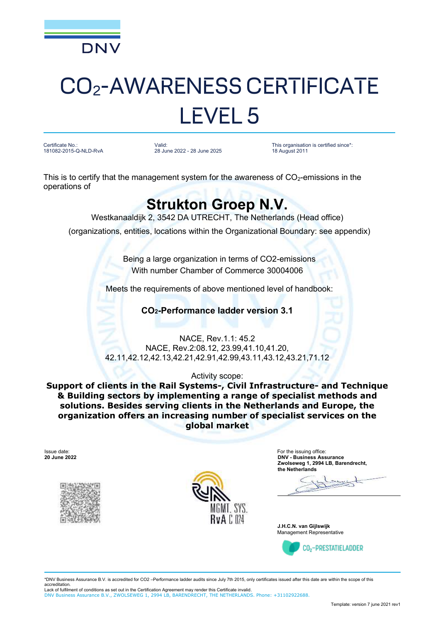

# CO2-AWARENESS CERTIFICATE LEVEL 5

Certificate No.: 181082-2015-Q-NLD-RvA Valid: 28 June 2022 - 28 June 2025 This organisation is certified since\*: 18 August 2011

This is to certify that the management system for the awareness of  $CO<sub>2</sub>$ -emissions in the operations of

### **Strukton Groep N.V.**

Westkanaaldijk 2, 3542 DA UTRECHT, The Netherlands (Head office)

(organizations, entities, locations within the Organizational Boundary: see appendix)

Being a large organization in terms of CO2-emissions With number Chamber of Commerce 30004006

Meets the requirements of above mentioned level of handbook:

**CO2-Performance ladder version 3.1**

NACE, Rev.1.1: 45.2 NACE, Rev.2:08.12, 23.99,41.10,41.20, 42.11,42.12,42.13,42.21,42.91,42.99,43.11,43.12,43.21,71.12

Activity scope:

**Support of clients in the Rail Systems-, Civil Infrastructure- and Technique & Building sectors by implementing a range of specialist methods and solutions. Besides serving clients in the Netherlands and Europe, the organization offers an increasing number of specialist services on the global market**

Issue date: **20 June 2022**





For the issuing office: **DNV - Business Assurance Zwolseweg 1, 2994 LB, Barendrecht, the Netherlands**

**J.H.C.N. van Gijlswijk** Management Representative



\*DNV Business Assurance B.V. is accredited for CO2 –Performance ladder audits since July 7th 2015, only certificates issued after this date are within the scope of this accreditation.

Lack of fulfilment of conditions as set out in the Certification Agreement may render this Certificate invalid. DNV Business Assurance B.V., ZWOLSEWEG 1, 2994 LB, BARENDRECHT, THE NETHERLANDS. Phone: +31102922688.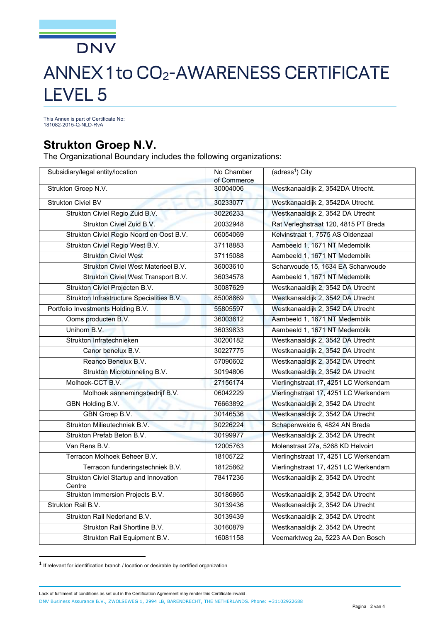## **DNV** ANNEX 1 to CO2-AWARENESS CERTIFICATE LEVEL 5

This Annex is part of Certificate No: 181082-2015-Q-NLD-RvA

#### **Strukton Groep N.V.**

The Organizational Boundary includes the following organizations:

| Subsidiary/legal entity/location                 | No Chamber<br>of Commerce | (adress <sup>1</sup> ) City           |
|--------------------------------------------------|---------------------------|---------------------------------------|
| Strukton Groep N.V.                              | 30004006                  | Westkanaaldijk 2, 3542DA Utrecht.     |
| Strukton Civiel BV                               | 30233077                  | Westkanaaldijk 2, 3542DA Utrecht.     |
| Strukton Civiel Regio Zuid B.V.                  | 30226233                  | Westkanaaldijk 2, 3542 DA Utrecht     |
| Strukton Civiel Zuid B.V.                        | 20032948                  | Rat Verleghstraat 120, 4815 PT Breda  |
| Strukton Civiel Regio Noord en Oost B.V.         | 06054069                  | Kelvinstraat 1, 7575 AS Oldenzaal     |
| Strukton Civiel Regio West B.V.                  | 37118883                  | Aambeeld 1, 1671 NT Medemblik         |
| <b>Strukton Civiel West</b>                      | 37115088                  | Aambeeld 1, 1671 NT Medemblik         |
| Strukton Civiel West Materieel B.V.              | 36003610                  | Scharwoude 15, 1634 EA Scharwoude     |
| Strukton Civiel West Transport B.V.              | 36034578                  | Aambeeld 1, 1671 NT Medemblik         |
| Strukton Civiel Projecten B.V.                   | 30087629                  | Westkanaaldijk 2, 3542 DA Utrecht     |
| Strukton Infrastructure Specialities B.V.        | 85008869                  | Westkanaaldijk 2, 3542 DA Utrecht     |
| Portfolio Investments Holding B.V.               | 55805597                  | Westkanaaldijk 2, 3542 DA Utrecht     |
| Ooms producten B.V.                              | 36003612                  | Aambeeld 1, 1671 NT Medemblik         |
| Unihorn B.V.                                     | 36039833                  | Aambeeld 1, 1671 NT Medemblik         |
| Strukton Infratechnieken                         | 30200182                  | Westkanaaldijk 2, 3542 DA Utrecht     |
| Canor benelux B.V.                               | 30227775                  | Westkanaaldijk 2, 3542 DA Utrecht     |
| Reanco Benelux B.V.                              | 57090602                  | Westkanaaldijk 2, 3542 DA Utrecht     |
| Strukton Microtunneling B.V.                     | 30194806                  | Westkanaaldijk 2, 3542 DA Utrecht     |
| Molhoek-CCT B.V.                                 | 27156174                  | Vierlinghstraat 17, 4251 LC Werkendam |
| Molhoek aannemingsbedrijf B.V.                   | 06042229                  | Vierlinghstraat 17, 4251 LC Werkendam |
| GBN Holding B.V.                                 | 76663892                  | Westkanaaldijk 2, 3542 DA Utrecht     |
| GBN Groep B.V.                                   | 30146536                  | Westkanaaldijk 2, 3542 DA Utrecht     |
| Strukton Milieutechniek B.V.                     | 30226224                  | Schapenweide 6, 4824 AN Breda         |
| Strukton Prefab Beton B.V.                       | 30199977                  | Westkanaaldijk 2, 3542 DA Utrecht     |
| Van Rens B.V.                                    | 12005763                  | Molenstraat 27a, 5268 KD Helvoirt     |
| Terracon Molhoek Beheer B.V.                     | 18105722                  | Vierlinghstraat 17, 4251 LC Werkendam |
| Terracon funderingstechniek B.V.                 | 18125862                  | Vierlinghstraat 17, 4251 LC Werkendam |
| Strukton Civiel Startup and Innovation<br>Centre | 78417236                  | Westkanaaldijk 2, 3542 DA Utrecht     |
| Strukton Immersion Projects B.V.                 | 30186865                  | Westkanaaldijk 2, 3542 DA Utrecht     |
| Strukton Rail B.V.                               | 30139436                  | Westkanaaldijk 2, 3542 DA Utrecht     |
| Strukton Rail Nederland B.V.                     | 30139439                  | Westkanaaldijk 2, 3542 DA Utrecht     |
| Strukton Rail Shortline B.V.                     | 30160879                  | Westkanaaldijk 2, 3542 DA Utrecht     |
| Strukton Rail Equipment B.V.                     | 16081158                  | Veemarktweg 2a, 5223 AA Den Bosch     |

 $^{\text{1}}$  If relevant for identification branch / location or desirable by certified organization

Lack of fulfilment of conditions as set out in the Certification Agreement may render this Certificate invalid. DNV Business Assurance B.V., ZWOLSEWEG 1, 2994 LB, BARENDRECHT, THE NETHERLANDS. Phone: +31102922688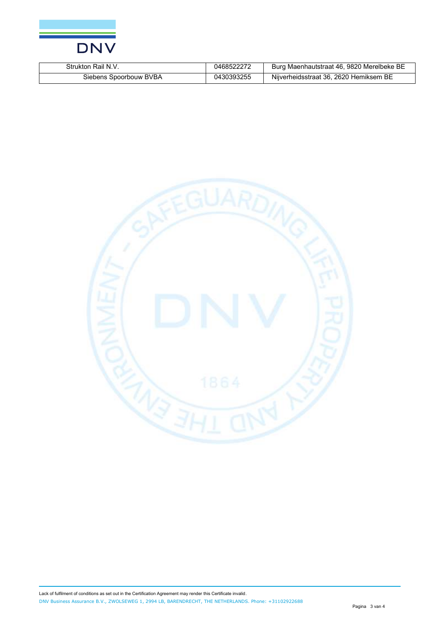

| Strukton<br>Rail N.        | :14            | Burg Maenhautstraat 46, 9820 Merelbeke BE      |
|----------------------------|----------------|------------------------------------------------|
| Spoorbouw BVBA<br>siebens. | 30393255<br>04 | . 2620 Hemiksem<br>BE<br>Niiverheidsstraat 36. |